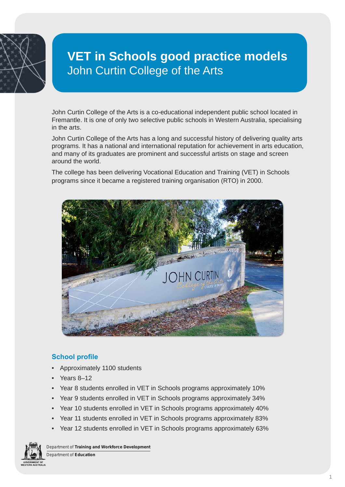

# **VET in Schools good practice models** John Curtin College of the Arts

John Curtin College of the Arts is a co-educational independent public school located in Fremantle. It is one of only two selective public schools in Western Australia, specialising in the arts.

John Curtin College of the Arts has a long and successful history of delivering quality arts programs. It has a national and international reputation for achievement in arts education, and many of its graduates are prominent and successful artists on stage and screen around the world.

The college has been delivering Vocational Education and Training (VET) in Schools programs since it became a registered training organisation (RTO) in 2000.



# **School profile**

- Approximately 1100 students
- Years 8–12
- Year 8 students enrolled in VET in Schools programs approximately 10%
- Year 9 students enrolled in VET in Schools programs approximately 34%
- Year 10 students enrolled in VET in Schools programs approximately 40%
- Year 11 students enrolled in VET in Schools programs approximately 83%
- Year 12 students enrolled in VET in Schools programs approximately 63%



Department of **Training and Workforce Development**

Department of **Education**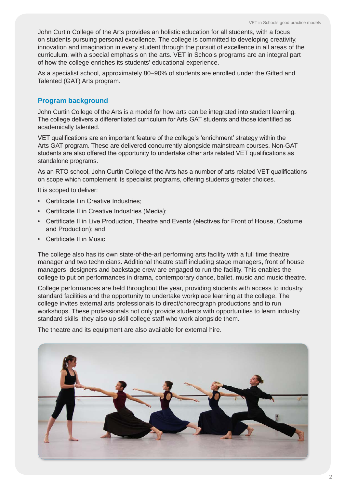John Curtin College of the Arts provides an holistic education for all students, with a focus on students pursuing personal excellence. The college is committed to developing creativity, innovation and imagination in every student through the pursuit of excellence in all areas of the curriculum, with a special emphasis on the arts. VET in Schools programs are an integral part of how the college enriches its students' educational experience.

As a specialist school, approximately 80–90% of students are enrolled under the Gifted and Talented (GAT) Arts program.

# **Program background**

John Curtin College of the Arts is a model for how arts can be integrated into student learning. The college delivers a differentiated curriculum for Arts GAT students and those identified as academically talented.

VET qualifications are an important feature of the college's 'enrichment' strategy within the Arts GAT program. These are delivered concurrently alongside mainstream courses. Non-GAT students are also offered the opportunity to undertake other arts related VET qualifications as standalone programs.

As an RTO school, John Curtin College of the Arts has a number of arts related VET qualifications on scope which complement its specialist programs, offering students greater choices.

It is scoped to deliver:

- Certificate I in Creative Industries;
- Certificate II in Creative Industries (Media);
- Certificate II in Live Production, Theatre and Events (electives for Front of House, Costume and Production); and
- Certificate II in Music.

The college also has its own state-of-the-art performing arts facility with a full time theatre manager and two technicians. Additional theatre staff including stage managers, front of house managers, designers and backstage crew are engaged to run the facility. This enables the college to put on performances in drama, contemporary dance, ballet, music and music theatre.

College performances are held throughout the year, providing students with access to industry standard facilities and the opportunity to undertake workplace learning at the college. The college invites external arts professionals to direct/choreograph productions and to run workshops. These professionals not only provide students with opportunities to learn industry standard skills, they also up skill college staff who work alongside them.

The theatre and its equipment are also available for external hire.

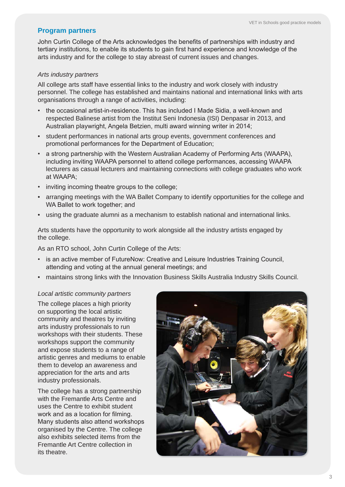## **Program partners**

John Curtin College of the Arts acknowledges the benefits of partnerships with industry and tertiary institutions, to enable its students to gain first hand experience and knowledge of the arts industry and for the college to stay abreast of current issues and changes.

## *Arts industry partners*

All college arts staff have essential links to the industry and work closely with industry personnel. The college has established and maintains national and international links with arts organisations through a range of activities, including:

- the occasional artist-in-residence. This has included I Made Sidia, a well-known and respected Balinese artist from the Institut Seni Indonesia (ISI) Denpasar in 2013, and Australian playwright, Angela Betzien, multi award winning writer in 2014;
- student performances in national arts group events, government conferences and promotional performances for the Department of Education;
- a strong partnership with the Western Australian Academy of Performing Arts (WAAPA), including inviting WAAPA personnel to attend college performances, accessing WAAPA lecturers as casual lecturers and maintaining connections with college graduates who work at WAAPA;
- inviting incoming theatre groups to the college;
- arranging meetings with the WA Ballet Company to identify opportunities for the college and WA Ballet to work together; and
- using the graduate alumni as a mechanism to establish national and international links.

Arts students have the opportunity to work alongside all the industry artists engaged by the college.

As an RTO school, John Curtin College of the Arts:

- is an active member of FutureNow: Creative and Leisure Industries Training Council, attending and voting at the annual general meetings; and
- maintains strong links with the Innovation Business Skills Australia Industry Skills Council.

## *Local artistic community partners*

The college places a high priority on supporting the local artistic community and theatres by inviting arts industry professionals to run workshops with their students. These workshops support the community and expose students to a range of artistic genres and mediums to enable them to develop an awareness and appreciation for the arts and arts industry professionals.

The college has a strong partnership with the Fremantle Arts Centre and uses the Centre to exhibit student work and as a location for filming. Many students also attend workshops organised by the Centre. The college also exhibits selected items from the Fremantle Art Centre collection in its theatre.

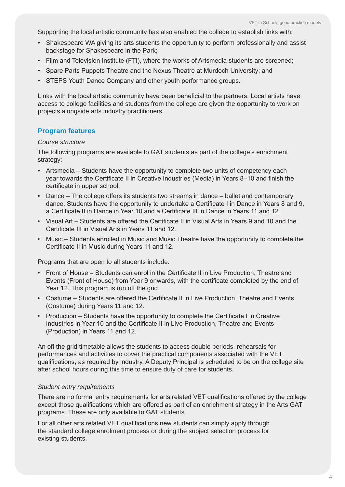Supporting the local artistic community has also enabled the college to establish links with:

- Shakespeare WA giving its arts students the opportunity to perform professionally and assist backstage for Shakespeare in the Park;
- Film and Television Institute (FTI), where the works of Artsmedia students are screened;
- Spare Parts Puppets Theatre and the Nexus Theatre at Murdoch University; and
- STEPS Youth Dance Company and other youth performance groups.

Links with the local artistic community have been beneficial to the partners. Local artists have access to college facilities and students from the college are given the opportunity to work on projects alongside arts industry practitioners.

## **Program features**

#### *Course structure*

The following programs are available to GAT students as part of the college's enrichment strategy:

- Artsmedia Students have the opportunity to complete two units of competency each year towards the Certificate II in Creative Industries (Media) in Years 8–10 and finish the certificate in upper school.
- Dance The college offers its students two streams in dance ballet and contemporary dance. Students have the opportunity to undertake a Certificate I in Dance in Years 8 and 9, a Certificate II in Dance in Year 10 and a Certificate III in Dance in Years 11 and 12.
- Visual Art Students are offered the Certificate II in Visual Arts in Years 9 and 10 and the Certificate III in Visual Arts in Years 11 and 12.
- Music Students enrolled in Music and Music Theatre have the opportunity to complete the Certificate II in Music during Years 11 and 12.

Programs that are open to all students include:

- Front of House Students can enrol in the Certificate II in Live Production, Theatre and Events (Front of House) from Year 9 onwards, with the certificate completed by the end of Year 12. This program is run off the grid.
- Costume Students are offered the Certificate II in Live Production, Theatre and Events (Costume) during Years 11 and 12.
- Production Students have the opportunity to complete the Certificate I in Creative Industries in Year 10 and the Certificate II in Live Production, Theatre and Events (Production) in Years 11 and 12.

An off the grid timetable allows the students to access double periods, rehearsals for performances and activities to cover the practical components associated with the VET qualifications, as required by industry. A Deputy Principal is scheduled to be on the college site after school hours during this time to ensure duty of care for students.

#### *Student entry requirements*

There are no formal entry requirements for arts related VET qualifications offered by the college except those qualifications which are offered as part of an enrichment strategy in the Arts GAT programs. These are only available to GAT students.

For all other arts related VET qualifications new students can simply apply through the standard college enrolment process or during the subject selection process for existing students.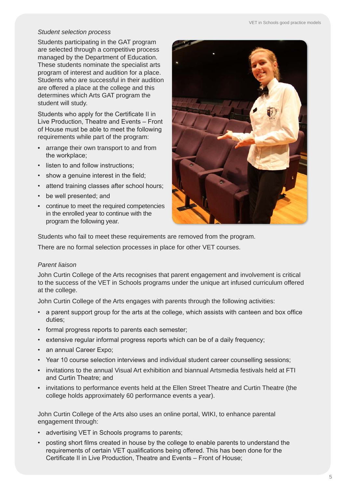# *Student selection process*

Students participating in the GAT program are selected through a competitive process managed by the Department of Education. These students nominate the specialist arts program of interest and audition for a place. Students who are successful in their audition are offered a place at the college and this determines which Arts GAT program the student will study.

Students who apply for the Certificate II in Live Production, Theatre and Events – Front of House must be able to meet the following requirements while part of the program:

- arrange their own transport to and from the workplace;
- listen to and follow instructions;
- show a genuine interest in the field;
- attend training classes after school hours;
- be well presented; and
- continue to meet the required competencies in the enrolled year to continue with the program the following year.



Students who fail to meet these requirements are removed from the program.

There are no formal selection processes in place for other VET courses.

## *Parent liaison*

John Curtin College of the Arts recognises that parent engagement and involvement is critical to the success of the VET in Schools programs under the unique art infused curriculum offered at the college.

John Curtin College of the Arts engages with parents through the following activities:

- a parent support group for the arts at the college, which assists with canteen and box office duties;
- formal progress reports to parents each semester;
- extensive regular informal progress reports which can be of a daily frequency;
- an annual Career Expo;
- Year 10 course selection interviews and individual student career counselling sessions;
- invitations to the annual Visual Art exhibition and biannual Artsmedia festivals held at FTI and Curtin Theatre; and
- invitations to performance events held at the Ellen Street Theatre and Curtin Theatre (the college holds approximately 60 performance events a year).

John Curtin College of the Arts also uses an online portal, WIKI, to enhance parental engagement through:

- advertising VET in Schools programs to parents;
- posting short films created in house by the college to enable parents to understand the requirements of certain VET qualifications being offered. This has been done for the Certificate II in Live Production, Theatre and Events – Front of House;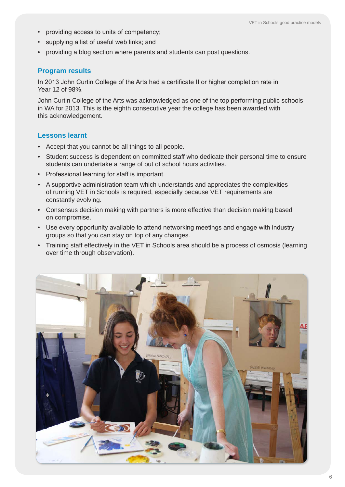- providing access to units of competency;
- supplying a list of useful web links; and
- providing a blog section where parents and students can post questions.

## **Program results**

In 2013 John Curtin College of the Arts had a certificate II or higher completion rate in Year 12 of 98%.

John Curtin College of the Arts was acknowledged as one of the top performing public schools in WA for 2013. This is the eighth consecutive year the college has been awarded with this acknowledgement.

## **Lessons learnt**

- Accept that you cannot be all things to all people.
- Student success is dependent on committed staff who dedicate their personal time to ensure students can undertake a range of out of school hours activities.
- Professional learning for staff is important.
- A supportive administration team which understands and appreciates the complexities of running VET in Schools is required, especially because VET requirements are constantly evolving.
- Consensus decision making with partners is more effective than decision making based on compromise.
- Use every opportunity available to attend networking meetings and engage with industry groups so that you can stay on top of any changes.
- Training staff effectively in the VET in Schools area should be a process of osmosis (learning over time through observation).